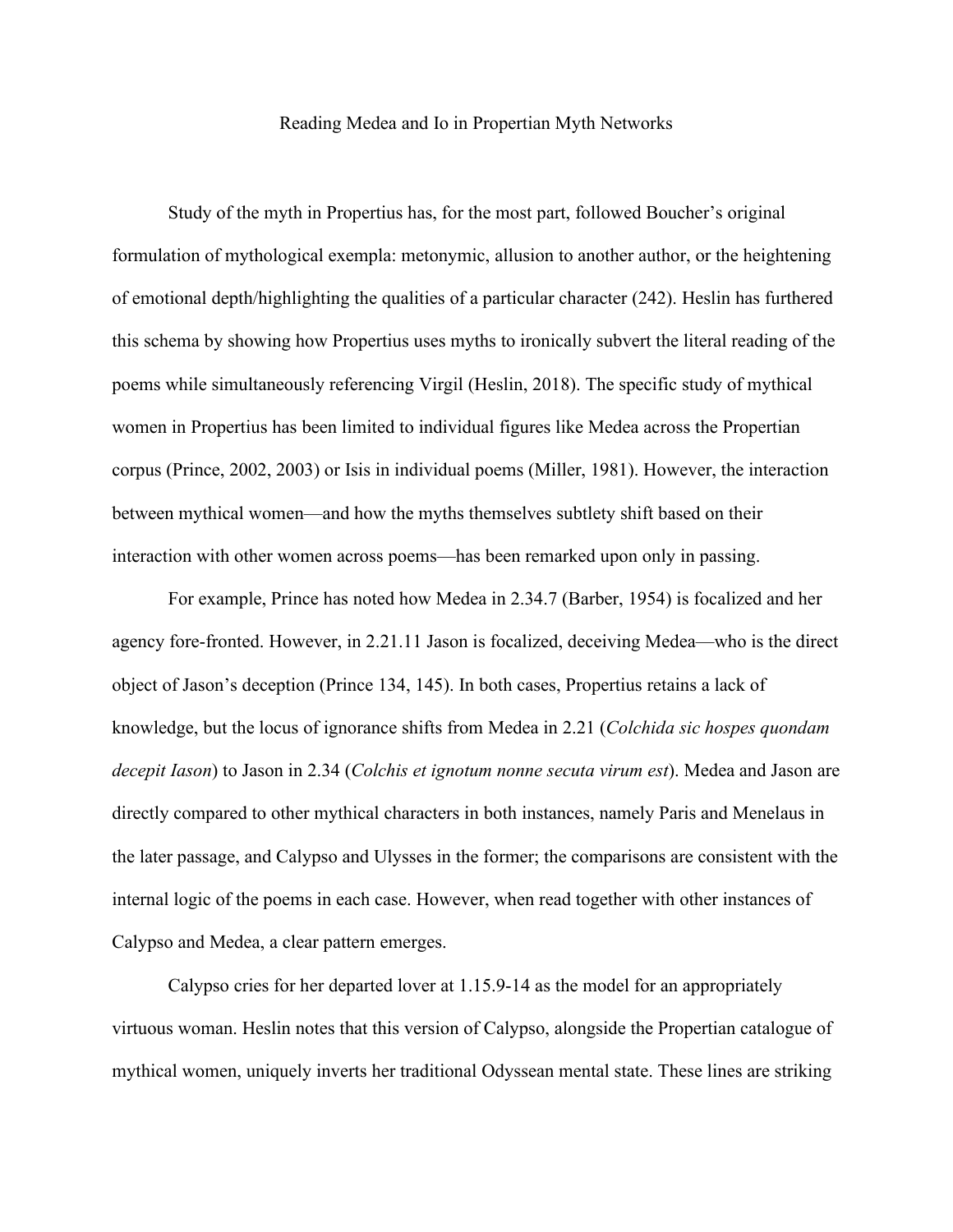## Reading Medea and Io in Propertian Myth Networks

Study of the myth in Propertius has, for the most part, followed Boucher's original formulation of mythological exempla: metonymic, allusion to another author, or the heightening of emotional depth/highlighting the qualities of a particular character (242). Heslin has furthered this schema by showing how Propertius uses myths to ironically subvert the literal reading of the poems while simultaneously referencing Virgil (Heslin, 2018). The specific study of mythical women in Propertius has been limited to individual figures like Medea across the Propertian corpus (Prince, 2002, 2003) or Isis in individual poems (Miller, 1981). However, the interaction between mythical women—and how the myths themselves subtlety shift based on their interaction with other women across poems—has been remarked upon only in passing.

For example, Prince has noted how Medea in 2.34.7 (Barber, 1954) is focalized and her agency fore-fronted. However, in 2.21.11 Jason is focalized, deceiving Medea—who is the direct object of Jason's deception (Prince 134, 145). In both cases, Propertius retains a lack of knowledge, but the locus of ignorance shifts from Medea in 2.21 (*Colchida sic hospes quondam decepit Iason*) to Jason in 2.34 (*Colchis et ignotum nonne secuta virum est*). Medea and Jason are directly compared to other mythical characters in both instances, namely Paris and Menelaus in the later passage, and Calypso and Ulysses in the former; the comparisons are consistent with the internal logic of the poems in each case. However, when read together with other instances of Calypso and Medea, a clear pattern emerges.

Calypso cries for her departed lover at 1.15.9-14 as the model for an appropriately virtuous woman. Heslin notes that this version of Calypso, alongside the Propertian catalogue of mythical women, uniquely inverts her traditional Odyssean mental state. These lines are striking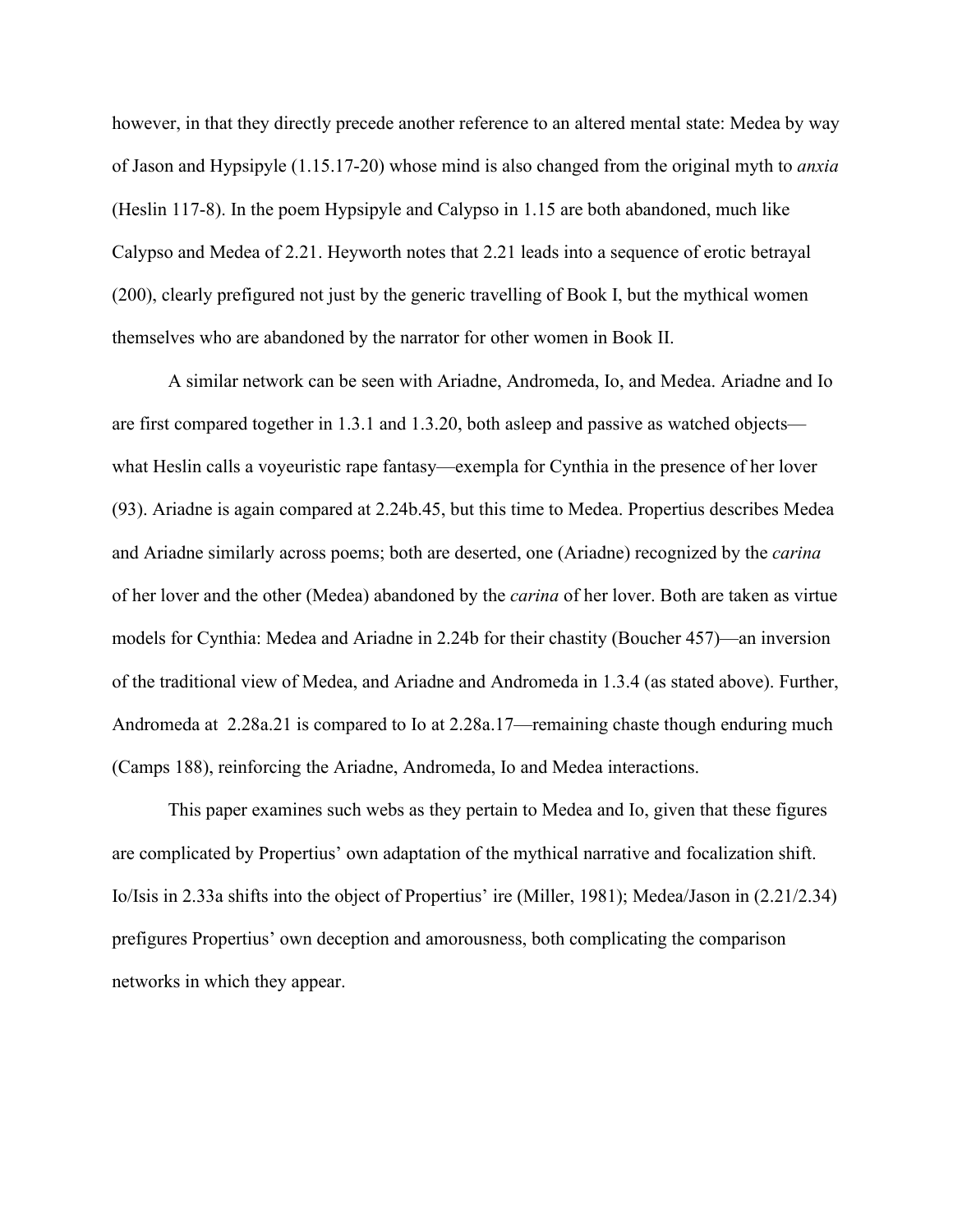however, in that they directly precede another reference to an altered mental state: Medea by way of Jason and Hypsipyle (1.15.17-20) whose mind is also changed from the original myth to *anxia* (Heslin 117-8). In the poem Hypsipyle and Calypso in 1.15 are both abandoned, much like Calypso and Medea of 2.21. Heyworth notes that 2.21 leads into a sequence of erotic betrayal (200), clearly prefigured not just by the generic travelling of Book I, but the mythical women themselves who are abandoned by the narrator for other women in Book II.

A similar network can be seen with Ariadne, Andromeda, Io, and Medea. Ariadne and Io are first compared together in 1.3.1 and 1.3.20, both asleep and passive as watched objects what Heslin calls a voyeuristic rape fantasy—exempla for Cynthia in the presence of her lover (93). Ariadne is again compared at 2.24b.45, but this time to Medea. Propertius describes Medea and Ariadne similarly across poems; both are deserted, one (Ariadne) recognized by the *carina* of her lover and the other (Medea) abandoned by the *carina* of her lover. Both are taken as virtue models for Cynthia: Medea and Ariadne in 2.24b for their chastity (Boucher 457)—an inversion of the traditional view of Medea, and Ariadne and Andromeda in 1.3.4 (as stated above). Further, Andromeda at 2.28a.21 is compared to Io at 2.28a.17—remaining chaste though enduring much (Camps 188), reinforcing the Ariadne, Andromeda, Io and Medea interactions.

This paper examines such webs as they pertain to Medea and Io, given that these figures are complicated by Propertius' own adaptation of the mythical narrative and focalization shift. Io/Isis in 2.33a shifts into the object of Propertius' ire (Miller, 1981); Medea/Jason in (2.21/2.34) prefigures Propertius' own deception and amorousness, both complicating the comparison networks in which they appear.